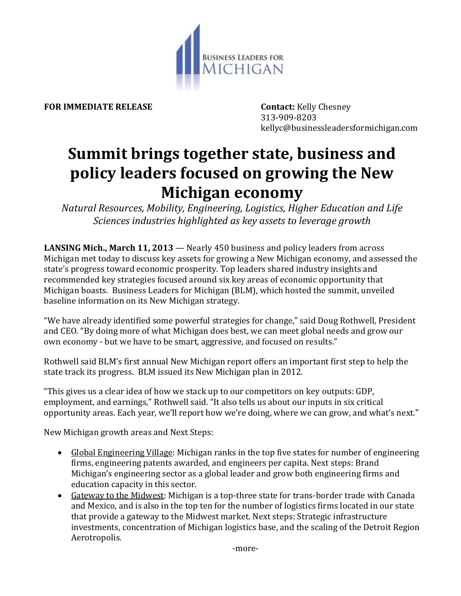

**FOR IMMEDIATE RELEASE Contact:** Kelly Chesney

313-909-8203 kellyc@businessleadersformichigan.com

## **Summit brings together state, business and policy leaders focused on growing the New Michigan economy**

*Natural Resources, Mobility, Engineering, Logistics, Higher Education and Life Sciences industries highlighted as key assets to leverage growth*

**LANSING Mich., March 11, 2013** — Nearly 450 business and policy leaders from across Michigan met today to discuss key assets for growing a New Michigan economy, and assessed the state's progress toward economic prosperity. Top leaders shared industry insights and recommended key strategies focused around six key areas of economic opportunity that Michigan boasts. Business Leaders for Michigan (BLM), which hosted the summit, unveiled baseline information on its New Michigan strategy.

"We have already identified some powerful strategies for change," said Doug Rothwell, President and CEO. "By doing more of what Michigan does best, we can meet global needs and grow our own economy - but we have to be smart, aggressive, and focused on results."

Rothwell said BLM's first annual New Michigan report offers an important first step to help the state track its progress. BLM issued its New Michigan plan in 2012.

"This gives us a clear idea of how we stack up to our competitors on key outputs: GDP, employment, and earnings," Rothwell said. "It also tells us about our inputs in six critical opportunity areas. Each year, we'll report how we're doing, where we can grow, and what's next."

New Michigan growth areas and Next Steps:

- Global Engineering Village: Michigan ranks in the top five states for number of engineering firms, engineering patents awarded, and engineers per capita. Next steps: Brand Michigan's engineering sector as a global leader and grow both engineering firms and education capacity in this sector.
- Gateway to the Midwest: Michigan is a top-three state for trans-border trade with Canada and Mexico, and is also in the top ten for the number of logistics firms located in our state that provide a gateway to the Midwest market. Next steps: Strategic infrastructure investments, concentration of Michigan logistics base, and the scaling of the Detroit Region Aerotropolis.